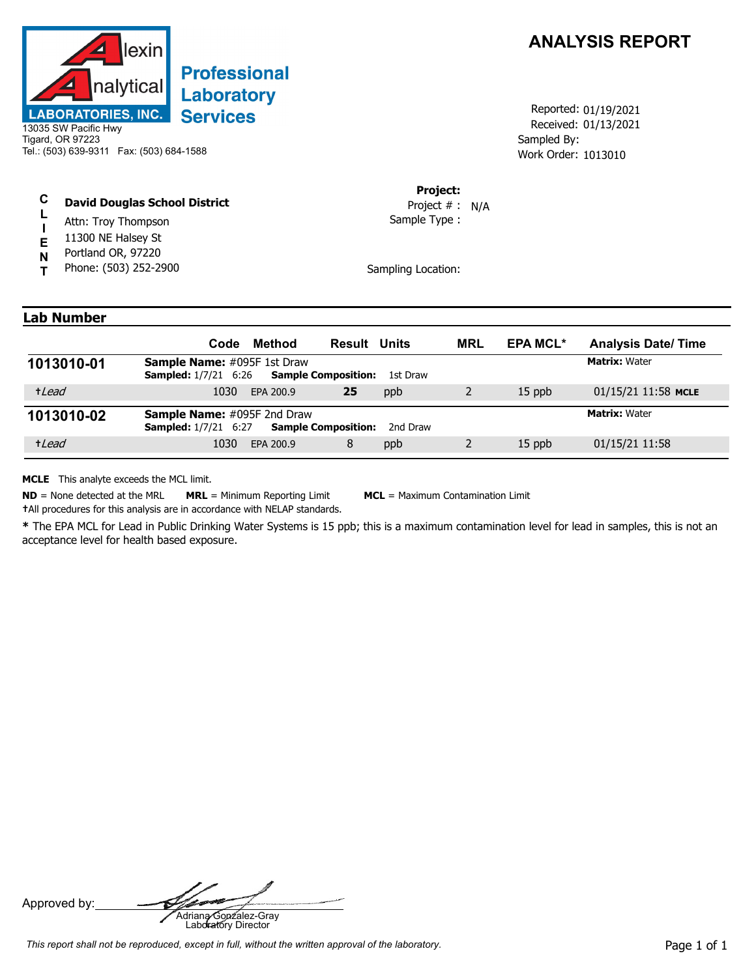

## **Professional Laboratory Services**

13035 SW Pacific Hwy Tigard, OR 97223 Tel.: (503) 639-9311 Fax: (503) 684-1588

## **C David Douglas School District**

- **L** Attn: Troy Thompson
- **I** 11300 NE Halsey St
- **E** Portland OR, 97220
- **N T** Phone: (503) 252-2900



Received: 01/13/2021 Work Order: 1013010 Reported: 01/19/2021 Sampled By:

## **Project:**

Sample Type : Project # : N/A

Sampling Location:

## **Lab Number**

|            | Method<br>Code                                                    | <b>Result Units</b>                    | <b>MRL</b> | <b>EPA MCL*</b> | <b>Analysis Date/Time</b> |
|------------|-------------------------------------------------------------------|----------------------------------------|------------|-----------------|---------------------------|
| 1013010-01 | <b>Sample Name:</b> #095F 1st Draw<br><b>Sampled:</b> 1/7/21 6:26 | <b>Sample Composition:</b><br>1st Draw |            |                 | <b>Matrix: Water</b>      |
| +Lead      | 1030<br>EPA 200.9                                                 | 25<br>ppb                              |            | $15$ ppb        | 01/15/21 11:58 MCLE       |
| 1013010-02 | Sample Name: #095F 2nd Draw<br><b>Sampled:</b> 1/7/21 6:27        | <b>Sample Composition:</b><br>2nd Draw |            |                 | <b>Matrix: Water</b>      |
| +Lead      | 1030<br>EPA 200.9                                                 | 8<br>ppb                               |            | 15 ppb          | 01/15/21 11:58            |

**MCLE** This analyte exceeds the MCL limit.

**ND** = None detected at the MRL **MRL** = Minimum Reporting Limit **MCL** = Maximum Contamination Limit

**†**All procedures for this analysis are in accordance with NELAP standards.

**\*** The EPA MCL for Lead in Public Drinking Water Systems is 15 ppb; this is a maximum contamination level for lead in samples, this is not an acceptance level for health based exposure.

Approved by: **Adriana Gonzalez-Gray**<br>Adriana Gonzalez-Gray<br>Laboratory Director